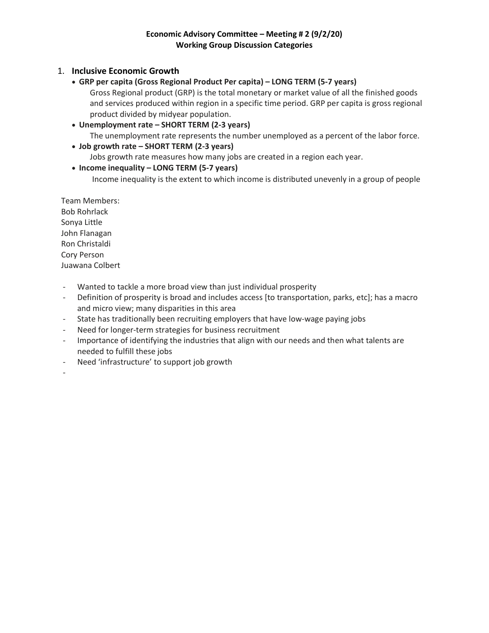# 1. **Inclusive Economic Growth**

• **GRP per capita (Gross Regional Product Per capita) – LONG TERM (5-7 years)**

Gross Regional product (GRP) is the total monetary or market value of all the finished goods and services produced within region in a specific time period. GRP per capita is gross regional product divided by midyear population.

- **Unemployment rate – SHORT TERM (2-3 years)** The unemployment rate represents the number unemployed as a percent of the labor force.
- **Job growth rate – SHORT TERM (2-3 years)** Jobs growth rate measures how many jobs are created in a region each year.

## • **Income inequality – LONG TERM (5-7 years)**

Income inequality is the extent to which income is distributed unevenly in a group of people

Team Members: Bob Rohrlack Sonya Little John Flanagan Ron Christaldi Cory Person Juawana Colbert

- Wanted to tackle a more broad view than just individual prosperity
- Definition of prosperity is broad and includes access [to transportation, parks, etc]; has a macro and micro view; many disparities in this area
- State has traditionally been recruiting employers that have low-wage paying jobs
- Need for longer-term strategies for business recruitment
- Importance of identifying the industries that align with our needs and then what talents are needed to fulfill these jobs
- Need 'infrastructure' to support job growth

-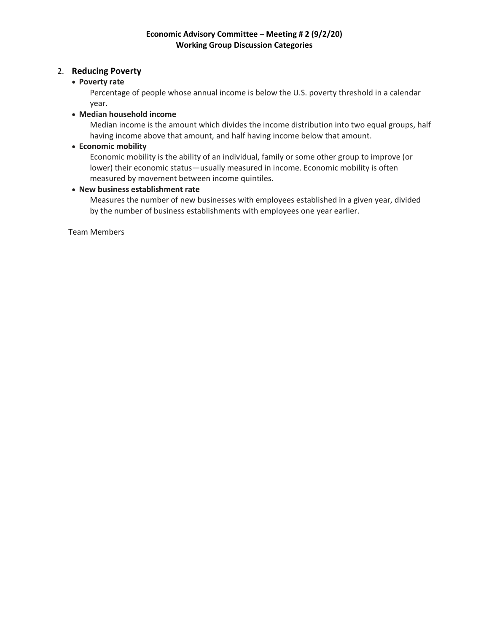## 2. **Reducing Poverty**

#### • **Poverty rate**

Percentage of people whose annual income is below the U.S. poverty threshold in a calendar year.

#### • **Median household income**

[Median](https://en.wikipedia.org/wiki/Median) income is the amount which divides the [income distribution](https://en.wikipedia.org/wiki/Income_distribution) into two equal groups, half having income above that amount, and half having income below that amount.

#### • **Economic mobility**

Economic mobility is the ability of an individual, family or some other group to improve (or lower) their [economic](https://en.wikipedia.org/wiki/Economic) status—usually measured in [income.](https://en.wikipedia.org/wiki/Income) Economic mobility is often measured by movement between [income quintiles.](https://en.wikipedia.org/wiki/Income_quintiles)

### • **New business establishment rate**

Measures the number of new businesses with employees established in a given year, divided by the number of business establishments with employees one year earlier.

Team Members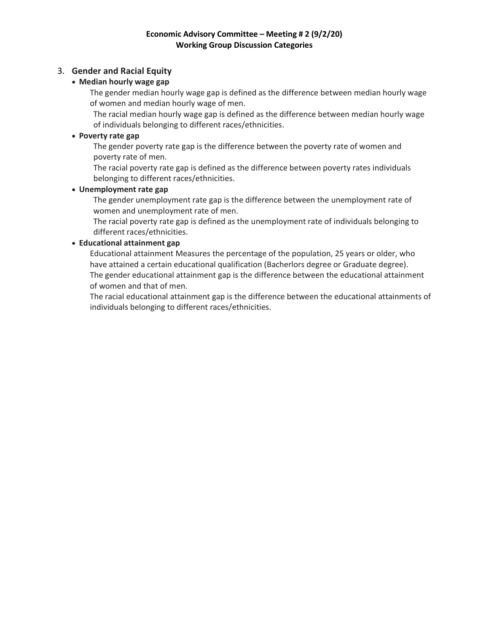# 3. **Gender and Racial Equity**

# • **Median hourly wage gap**

The gender median hourly wage gap is defined as the difference between median hourly wage of women and median hourly wage of men.

The racial median hourly wage gap is defined as the difference between median hourly wage of individuals belonging to different races/ethnicities.

## • **Poverty rate gap**

The gender poverty rate gap is the difference between the poverty rate of women and poverty rate of men.

The racial poverty rate gap is defined as the difference between poverty rates individuals belonging to different races/ethnicities.

### • **Unemployment rate gap**

The gender unemployment rate gap is the difference between the unemployment rate of women and unemployment rate of men.

The racial poverty rate gap is defined as the unemployment rate of individuals belonging to different races/ethnicities.

## • **Educational attainment gap**

Educational attainment Measures the percentage of the population, 25 years or older, who have attained a certain educational qualification (Bacherlors degree or Graduate degree). The gender educational attainment gap is the difference between the educational attainment of women and that of men.

The racial educational attainment gap is the difference between the educational attainments of individuals belonging to different races/ethnicities.